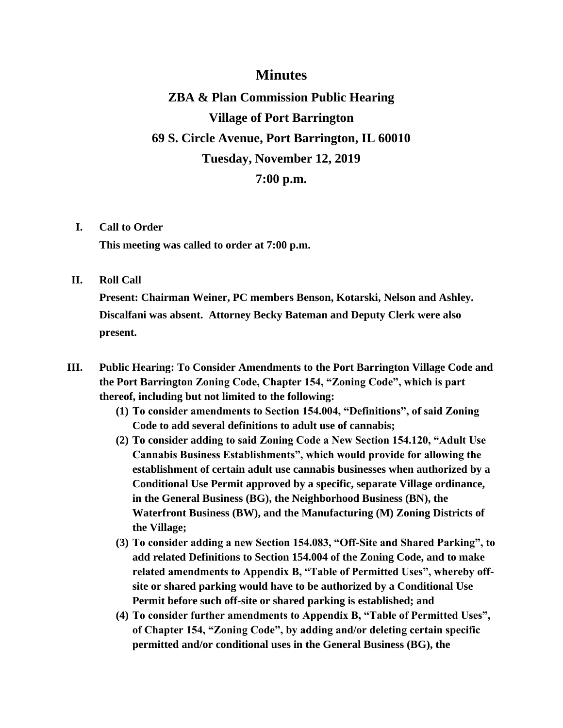# **Minutes**

**ZBA & Plan Commission Public Hearing Village of Port Barrington 69 S. Circle Avenue, Port Barrington, IL 60010 Tuesday, November 12, 2019 7:00 p.m.**

### **I. Call to Order**

**This meeting was called to order at 7:00 p.m.**

#### **II. Roll Call**

**Present: Chairman Weiner, PC members Benson, Kotarski, Nelson and Ashley. Discalfani was absent. Attorney Becky Bateman and Deputy Clerk were also present.**

- **III. Public Hearing: To Consider Amendments to the Port Barrington Village Code and the Port Barrington Zoning Code, Chapter 154, "Zoning Code", which is part thereof, including but not limited to the following:**
	- **(1) To consider amendments to Section 154.004, "Definitions", of said Zoning Code to add several definitions to adult use of cannabis;**
	- **(2) To consider adding to said Zoning Code a New Section 154.120, "Adult Use Cannabis Business Establishments", which would provide for allowing the establishment of certain adult use cannabis businesses when authorized by a Conditional Use Permit approved by a specific, separate Village ordinance, in the General Business (BG), the Neighborhood Business (BN), the Waterfront Business (BW), and the Manufacturing (M) Zoning Districts of the Village;**
	- **(3) To consider adding a new Section 154.083, "Off-Site and Shared Parking", to add related Definitions to Section 154.004 of the Zoning Code, and to make related amendments to Appendix B, "Table of Permitted Uses", whereby offsite or shared parking would have to be authorized by a Conditional Use Permit before such off-site or shared parking is established; and**
	- **(4) To consider further amendments to Appendix B, "Table of Permitted Uses", of Chapter 154, "Zoning Code", by adding and/or deleting certain specific permitted and/or conditional uses in the General Business (BG), the**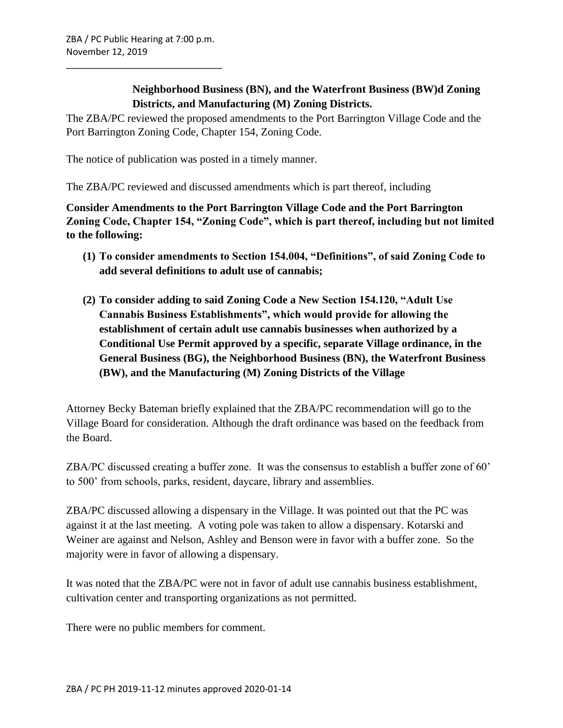\_\_\_\_\_\_\_\_\_\_\_\_\_\_\_\_\_\_\_\_\_\_\_\_\_\_\_\_\_\_\_

**Neighborhood Business (BN), and the Waterfront Business (BW)d Zoning Districts, and Manufacturing (M) Zoning Districts.** 

The ZBA/PC reviewed the proposed amendments to the Port Barrington Village Code and the Port Barrington Zoning Code, Chapter 154, Zoning Code.

The notice of publication was posted in a timely manner.

The ZBA/PC reviewed and discussed amendments which is part thereof, including

**Consider Amendments to the Port Barrington Village Code and the Port Barrington Zoning Code, Chapter 154, "Zoning Code", which is part thereof, including but not limited to the following:**

- **(1) To consider amendments to Section 154.004, "Definitions", of said Zoning Code to add several definitions to adult use of cannabis;**
- **(2) To consider adding to said Zoning Code a New Section 154.120, "Adult Use Cannabis Business Establishments", which would provide for allowing the establishment of certain adult use cannabis businesses when authorized by a Conditional Use Permit approved by a specific, separate Village ordinance, in the General Business (BG), the Neighborhood Business (BN), the Waterfront Business (BW), and the Manufacturing (M) Zoning Districts of the Village**

Attorney Becky Bateman briefly explained that the ZBA/PC recommendation will go to the Village Board for consideration. Although the draft ordinance was based on the feedback from the Board.

ZBA/PC discussed creating a buffer zone. It was the consensus to establish a buffer zone of 60' to 500' from schools, parks, resident, daycare, library and assemblies.

ZBA/PC discussed allowing a dispensary in the Village. It was pointed out that the PC was against it at the last meeting. A voting pole was taken to allow a dispensary. Kotarski and Weiner are against and Nelson, Ashley and Benson were in favor with a buffer zone. So the majority were in favor of allowing a dispensary.

It was noted that the ZBA/PC were not in favor of adult use cannabis business establishment, cultivation center and transporting organizations as not permitted.

There were no public members for comment.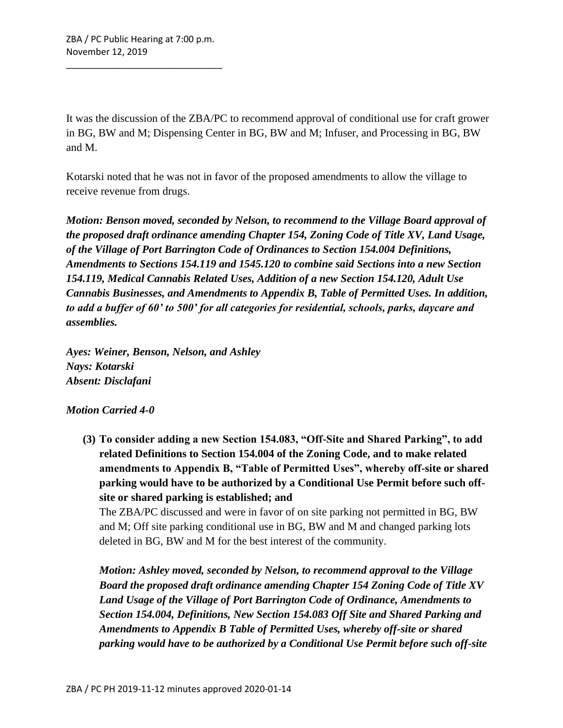\_\_\_\_\_\_\_\_\_\_\_\_\_\_\_\_\_\_\_\_\_\_\_\_\_\_\_\_\_\_\_

It was the discussion of the ZBA/PC to recommend approval of conditional use for craft grower in BG, BW and M; Dispensing Center in BG, BW and M; Infuser, and Processing in BG, BW and M.

Kotarski noted that he was not in favor of the proposed amendments to allow the village to receive revenue from drugs.

*Motion: Benson moved, seconded by Nelson, to recommend to the Village Board approval of the proposed draft ordinance amending Chapter 154, Zoning Code of Title XV, Land Usage, of the Village of Port Barrington Code of Ordinances to Section 154.004 Definitions, Amendments to Sections 154.119 and 1545.120 to combine said Sections into a new Section 154.119, Medical Cannabis Related Uses, Addition of a new Section 154.120, Adult Use Cannabis Businesses, and Amendments to Appendix B, Table of Permitted Uses. In addition, to add a buffer of 60' to 500' for all categories for residential, schools, parks, daycare and assemblies.* 

*Ayes: Weiner, Benson, Nelson, and Ashley Nays: Kotarski Absent: Disclafani*

# *Motion Carried 4-0*

**(3) To consider adding a new Section 154.083, "Off-Site and Shared Parking", to add related Definitions to Section 154.004 of the Zoning Code, and to make related amendments to Appendix B, "Table of Permitted Uses", whereby off-site or shared parking would have to be authorized by a Conditional Use Permit before such offsite or shared parking is established; and**

The ZBA/PC discussed and were in favor of on site parking not permitted in BG, BW and M; Off site parking conditional use in BG, BW and M and changed parking lots deleted in BG, BW and M for the best interest of the community.

*Motion: Ashley moved, seconded by Nelson, to recommend approval to the Village Board the proposed draft ordinance amending Chapter 154 Zoning Code of Title XV Land Usage of the Village of Port Barrington Code of Ordinance, Amendments to Section 154.004, Definitions, New Section 154.083 Off Site and Shared Parking and Amendments to Appendix B Table of Permitted Uses, whereby off-site or shared parking would have to be authorized by a Conditional Use Permit before such off-site*